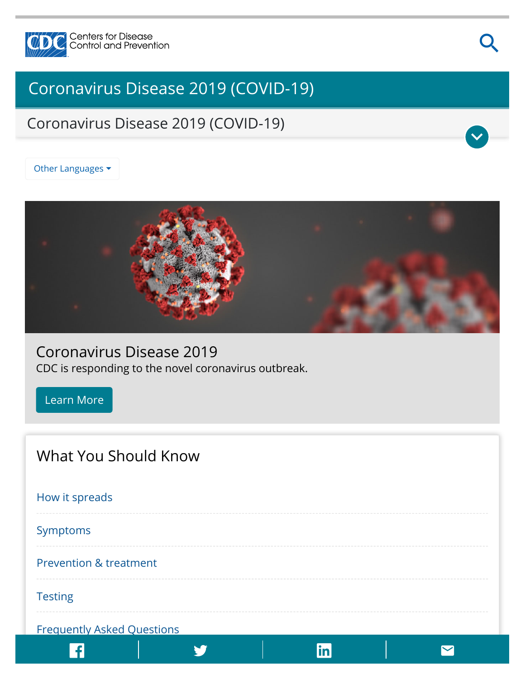

# [Coronavirus Disease 2019 \(COVID-19\)](https://www.cdc.gov/coronavirus/2019-nCoV/index.html)

## Coronavirus Disease 2019 (COVID-19)

Other Languages ▼



### Coronavirus Disease 2019

CDC is responding to the novel coronavirus outbreak.

[Learn More](https://www.cdc.gov/coronavirus/2019-nCoV/summary.html)

| What You Should Know              |
|-----------------------------------|
| How it spreads                    |
| Symptoms                          |
| <b>Prevention &amp; treatment</b> |
| <b>Testing</b>                    |
| <b>Frequently Asked Questions</b> |
| in                                |

Q

V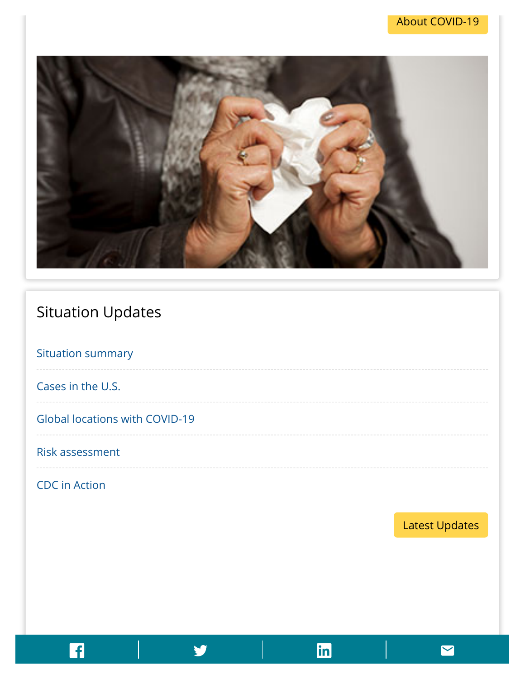

## Situation Updates

[Situation summary](https://www.cdc.gov/coronavirus/2019-ncov/summary.html)

[Cases in the U.S.](https://www.cdc.gov/coronavirus/2019-ncov/cases-in-us.html)

[Global locations with COVID-19](https://www.cdc.gov/coronavirus/2019-ncov/locations-confirmed-cases.html)

#### [Risk assessment](https://www.cdc.gov/coronavirus/2019-ncov/summary.html#risk-assessment)

[CDC in Action](https://www.cdc.gov/coronavirus/2019-ncov/php/preparing-communities.html)

[Latest Updates](https://www.cdc.gov/coronavirus/2019-ncov/summary.html)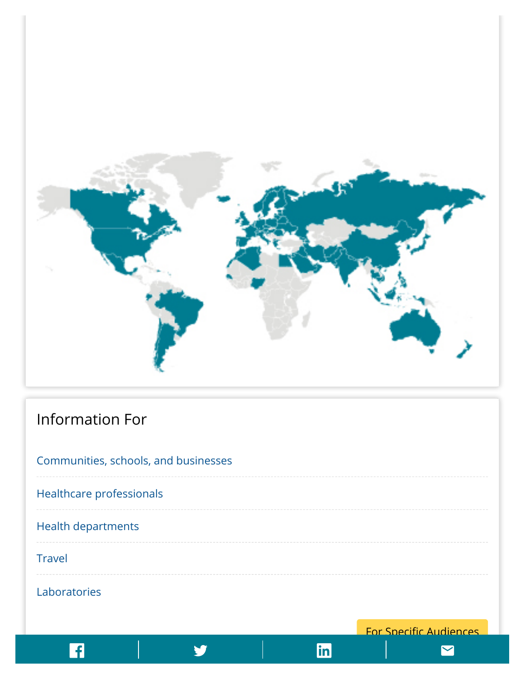![](_page_2_Figure_0.jpeg)

## Information For

| Communities, schools, and businesses |
|--------------------------------------|
| Healthcare professionals             |
| <b>Health departments</b>            |
| <b>Travel</b>                        |
| Laboratories                         |

For Specific Audiences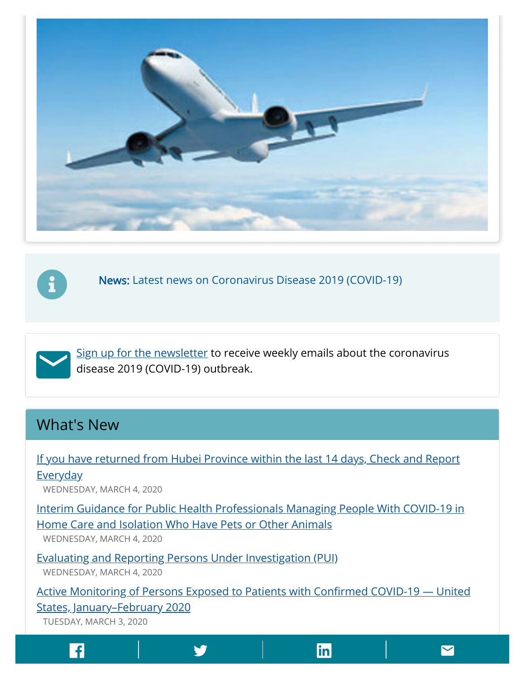![](_page_3_Picture_0.jpeg)

![](_page_3_Picture_1.jpeg)

[News: Latest news on Coronavirus Disease 2019 \(COVID-19\)](https://www.cdc.gov/media/dpk/diseases-and-conditions/coronavirus/coronavirus-2020.html)

![](_page_3_Picture_3.jpeg)

[Sign up for the newsletter](https://tools.cdc.gov/campaignproxyservice/subscriptions.aspx?topic_id=USCDC_2067) to receive weekly emails about the coronavirus disease 2019 (COVID-19) outbreak.

## What's New

[If you have returned from Hubei Province within the last 14 days, Check and Report](https://www.cdc.gov/coronavirus/2019-ncov/travelers/care-booklet.html)

**Everyday** WEDNESDAY, MARCH 4, 2020

[Interim Guidance for Public Health Professionals Managing People With COVID-19 in](https://www.cdc.gov/coronavirus/2019-ncov/php/interim-guidance-managing-people-in-home-care-and-isolation-who-have-pets.html) Home Care and Isolation Who Have Pets or Other Animals

WEDNESDAY, MARCH 4, 2020

[Evaluating and Reporting Persons Under Investigation \(PUI\)](https://www.cdc.gov/coronavirus/2019-ncov/hcp/clinical-criteria.html) WEDNESDAY, MARCH 4, 2020

Active Monitoring of Persons Exposed to Patients with Confirmed COVID-19 - United States, January–February 2020 TUESDAY, MARCH 3, 2020

[Interim Guidance: Get Your Mass Gatherings or Large Community Events Ready for](https://www.cdc.gov/coronavirus/2019-ncov/community/mass-gatherings-ready-for-covid-19.html) Coronavirus Disease 2019 (COVID-19)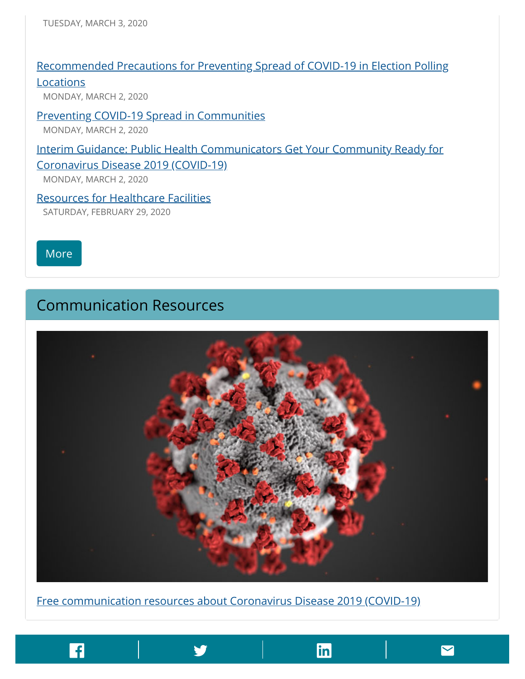#### [Recommended Precautions for Preventing Spread of COVID-19 in Election Polling](https://www.cdc.gov/coronavirus/2019-ncov/community/election-polling-locations.html)

Locations

MONDAY, MARCH 2, 2020

#### [Preventing COVID-19 Spread in Communities](https://www.cdc.gov/coronavirus/2019-ncov/community/index.html)

MONDAY, MARCH 2, 2020

#### [Interim Guidance: Public Health Communicators Get Your Community Ready for](https://www.cdc.gov/coronavirus/2019-ncov/php/public-health-communicators-get-your-community-ready.html)

#### Coronavirus Disease 2019 (COVID-19)

MONDAY, MARCH 2, 2020

[Resources for Healthcare Facilities](https://www.cdc.gov/coronavirus/2019-ncov/healthcare-facilities/index.html) SATURDAY, FEBRUARY 29, 2020

[More](https://www.cdc.gov/coronavirus/2019-ncov/whats-new-all.html)

### Communication Resources

![](_page_4_Picture_12.jpeg)

Page last reviewed: March 2, <sup>2020</sup>

[Free communication resources about Coronavirus Disease 2019 \(COVID-19\)](https://www.cdc.gov/coronavirus/2019-ncov/communication/index.html)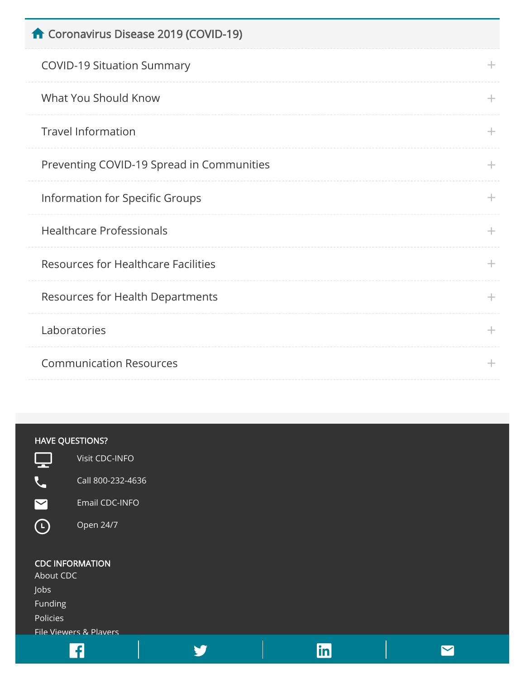| Coronavirus Disease 2019 (COVID-19)        |       |
|--------------------------------------------|-------|
| <b>COVID-19 Situation Summary</b>          | ÷.    |
| What You Should Know                       | ÷.    |
| <b>Travel Information</b>                  | ÷.    |
| Preventing COVID-19 Spread in Communities  | $\pm$ |
| Information for Specific Groups            | $\pm$ |
| <b>Healthcare Professionals</b>            | $+$   |
| <b>Resources for Healthcare Facilities</b> | $\pm$ |
| <b>Resources for Health Departments</b>    | $\pm$ |
| Laboratories                               | $+$   |
| <b>Communication Resources</b>             | ÷     |
|                                            |       |

### HAVE QUESTIONS?

Call 800-232-4636

![](_page_5_Picture_4.jpeg)

[Open 24/7](https://www.cdc.gov/cdc-info/index.html)

#### CDC INFORMATION

[About CDC](https://www.cdc.gov/about/default.htm) [Jobs](https://jobs.cdc.gov/) [Funding](https://www.cdc.gov/funding) [Policies](https://www.cdc.gov/Other/policies.html)

[File Viewers & Players](https://www.cdc.gov/other/plugins/index.html)